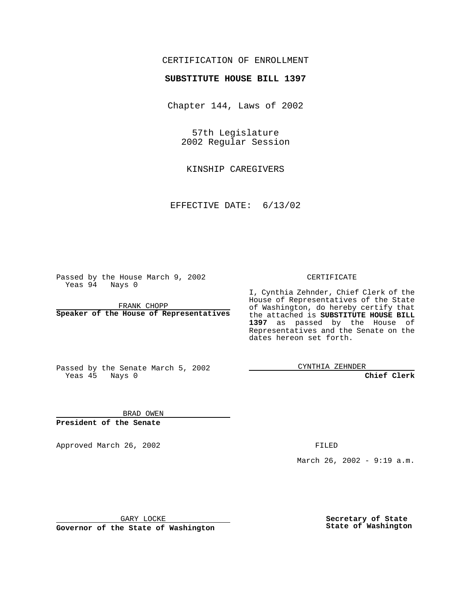### CERTIFICATION OF ENROLLMENT

# **SUBSTITUTE HOUSE BILL 1397**

Chapter 144, Laws of 2002

57th Legislature 2002 Regular Session

KINSHIP CAREGIVERS

EFFECTIVE DATE: 6/13/02

Passed by the House March 9, 2002 Yeas 94 Nays 0

FRANK CHOPP **Speaker of the House of Representatives** CERTIFICATE

I, Cynthia Zehnder, Chief Clerk of the House of Representatives of the State of Washington, do hereby certify that the attached is **SUBSTITUTE HOUSE BILL 1397** as passed by the House of Representatives and the Senate on the dates hereon set forth.

Passed by the Senate March 5, 2002 Yeas 45 Nays 0

CYNTHIA ZEHNDER

**Chief Clerk**

BRAD OWEN **President of the Senate**

Approved March 26, 2002 **FILED** 

March 26, 2002 - 9:19 a.m.

GARY LOCKE

**Governor of the State of Washington**

**Secretary of State State of Washington**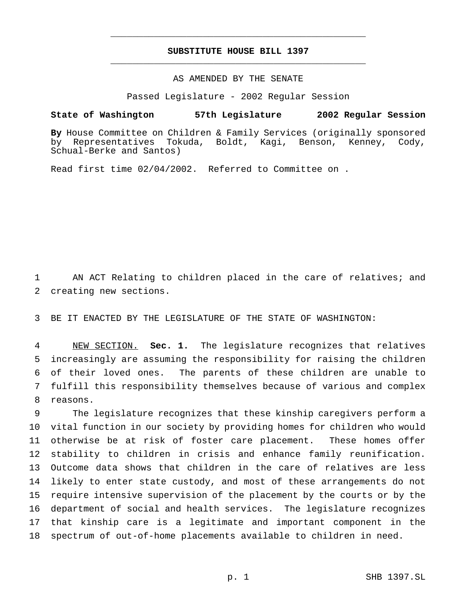## **SUBSTITUTE HOUSE BILL 1397** \_\_\_\_\_\_\_\_\_\_\_\_\_\_\_\_\_\_\_\_\_\_\_\_\_\_\_\_\_\_\_\_\_\_\_\_\_\_\_\_\_\_\_\_\_\_\_

\_\_\_\_\_\_\_\_\_\_\_\_\_\_\_\_\_\_\_\_\_\_\_\_\_\_\_\_\_\_\_\_\_\_\_\_\_\_\_\_\_\_\_\_\_\_\_

#### AS AMENDED BY THE SENATE

Passed Legislature - 2002 Regular Session

#### **State of Washington 57th Legislature 2002 Regular Session**

**By** House Committee on Children & Family Services (originally sponsored by Representatives Tokuda, Boldt, Kagi, Benson, Kenney, Cody, Schual-Berke and Santos)

Read first time 02/04/2002. Referred to Committee on .

 AN ACT Relating to children placed in the care of relatives; and creating new sections.

BE IT ENACTED BY THE LEGISLATURE OF THE STATE OF WASHINGTON:

 NEW SECTION. **Sec. 1.** The legislature recognizes that relatives increasingly are assuming the responsibility for raising the children of their loved ones. The parents of these children are unable to fulfill this responsibility themselves because of various and complex reasons.

 The legislature recognizes that these kinship caregivers perform a vital function in our society by providing homes for children who would otherwise be at risk of foster care placement. These homes offer stability to children in crisis and enhance family reunification. Outcome data shows that children in the care of relatives are less likely to enter state custody, and most of these arrangements do not require intensive supervision of the placement by the courts or by the department of social and health services. The legislature recognizes that kinship care is a legitimate and important component in the spectrum of out-of-home placements available to children in need.